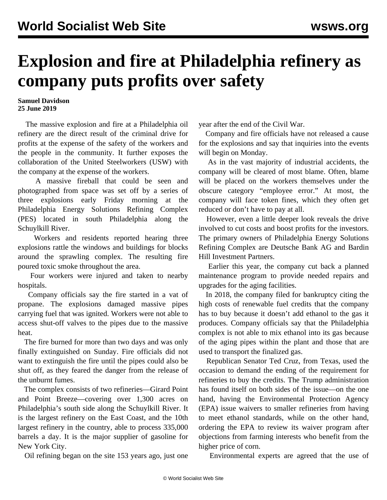## **Explosion and fire at Philadelphia refinery as company puts profits over safety**

## **Samuel Davidson 25 June 2019**

 The massive explosion and fire at a Philadelphia oil refinery are the direct result of the criminal drive for profits at the expense of the safety of the workers and the people in the community. It further exposes the collaboration of the United Steelworkers (USW) with the company at the expense of the workers.

 A massive fireball that could be seen and photographed from space was set off by a series of three explosions early Friday morning at the Philadelphia Energy Solutions Refining Complex (PES) located in south Philadelphia along the Schuylkill River.

 Workers and residents reported hearing three explosions rattle the windows and buildings for blocks around the sprawling complex. The resulting fire poured toxic smoke throughout the area.

 Four workers were injured and taken to nearby hospitals.

 Company officials say the fire started in a vat of propane. The explosions damaged massive pipes carrying fuel that was ignited. Workers were not able to access shut-off valves to the pipes due to the massive heat.

 The fire burned for more than two days and was only finally extinguished on Sunday. Fire officials did not want to extinguish the fire until the pipes could also be shut off, as they feared the danger from the release of the unburnt fumes.

 The complex consists of two refineries—Girard Point and Point Breeze—covering over 1,300 acres on Philadelphia's south side along the Schuylkill River. It is the largest refinery on the East Coast, and the 10th largest refinery in the country, able to process 335,000 barrels a day. It is the major supplier of gasoline for New York City.

Oil refining began on the site 153 years ago, just one

year after the end of the Civil War.

 Company and fire officials have not released a cause for the explosions and say that inquiries into the events will begin on Monday.

 As in the vast majority of industrial accidents, the company will be cleared of most blame. Often, blame will be placed on the workers themselves under the obscure category "employee error." At most, the company will face token fines, which they often get reduced or don't have to pay at all.

 However, even a little deeper look reveals the drive involved to cut costs and boost profits for the investors. The primary owners of Philadelphia Energy Solutions Refining Complex are Deutsche Bank AG and Bardin Hill Investment Partners.

 Earlier this year, the company cut back a planned maintenance program to provide needed repairs and upgrades for the aging facilities.

 In 2018, the company filed for bankruptcy citing the high costs of renewable fuel credits that the company has to buy because it doesn't add ethanol to the gas it produces. Company officials say that the Philadelphia complex is not able to mix ethanol into its gas because of the aging pipes within the plant and those that are used to transport the finalized gas.

 Republican Senator Ted Cruz, from Texas, used the occasion to demand the ending of the requirement for refineries to buy the credits. The Trump administration has found itself on both sides of the issue—on the one hand, having the Environmental Protection Agency (EPA) issue waivers to smaller refineries from having to meet ethanol standards, while on the other hand, ordering the EPA to review its waiver program after objections from farming interests who benefit from the higher price of corn.

Environmental experts are agreed that the use of